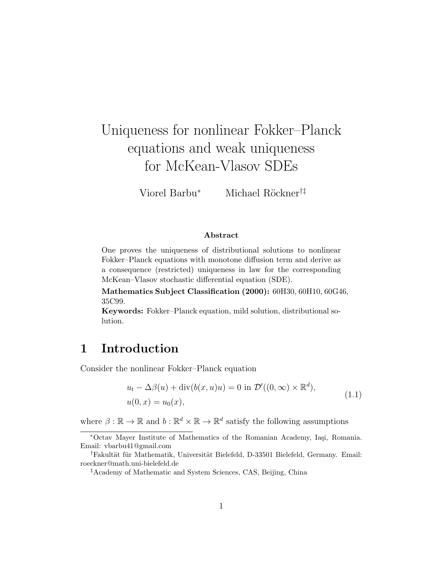# Uniqueness for nonlinear Fokker–Planck equations and weak uniqueness for McKean-Vlasov SDEs

Viorel Barbu<sup>∗</sup> Michael Röckner<sup>†‡</sup>

#### Abstract

One proves the uniqueness of distributional solutions to nonlinear Fokker–Planck equations with monotone diffusion term and derive as a consequence (restricted) uniqueness in law for the corresponding McKean–Vlasov stochastic differential equation (SDE).

Mathematics Subject Classification (2000): 60H30, 60H10, 60G46, 35C99.

Keywords: Fokker–Planck equation, mild solution, distributional solution.

### 1 Introduction

Consider the nonlinear Fokker–Planck equation

$$
u_t - \Delta\beta(u) + \operatorname{div}(b(x, u)u) = 0 \text{ in } \mathcal{D}'((0, \infty) \times \mathbb{R}^d),
$$
  

$$
u(0, x) = u_0(x),
$$
 (1.1)

where  $\beta : \mathbb{R} \to \mathbb{R}$  and  $b : \mathbb{R}^d \times \mathbb{R} \to \mathbb{R}^d$  satisfy the following assumptions

<sup>∗</sup>Octav Mayer Institute of Mathematics of the Romanian Academy, Ia¸si, Romania. Email: vbarbu41@gmail.com

<sup>&</sup>lt;sup>†</sup>Fakultät für Mathematik, Universität Bielefeld, D-33501 Bielefeld, Germany. Email: roeckner@math.uni-bielefeld.de

<sup>‡</sup>Academy of Mathematic and System Sciences, CAS, Beijing, China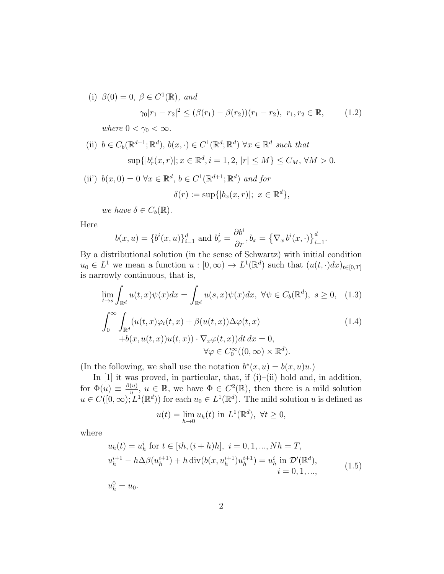(i)  $\beta(0) = 0, \ \beta \in C^1(\mathbb{R}), \ and$ 

$$
\gamma_0|r_1 - r_2|^2 \le (\beta(r_1) - \beta(r_2))(r_1 - r_2), \ r_1, r_2 \in \mathbb{R}, \qquad (1.2)
$$
  
where  $0 < \gamma_0 < \infty$ .

 $\{d\},\$ 

(ii)  $b \in C_b(\mathbb{R}^{d+1}; \mathbb{R}^d), b(x, \cdot) \in C^1(\mathbb{R}^d; \mathbb{R}^d) \ \forall x \in \mathbb{R}^d \ such \ that$  $\sup\{|b_r^i(x,r)|; x \in \mathbb{R}^d, i = 1, 2, |r| \le M\} \le C_M, \forall M > 0.$ 

(ii') 
$$
b(x, 0) = 0 \ \forall x \in \mathbb{R}^d
$$
,  $b \in C^1(\mathbb{R}^{d+1}; \mathbb{R}^d)$  and for  

$$
\delta(r) := \sup\{|b_x(x, r)|; \ x \in \mathbb{R}\}
$$

we have  $\delta \in C_b(\mathbb{R})$ .

Here

$$
b(x, u) = {b^{i}(x, u)}_{i=1}^{d}
$$
 and  $b_{r}^{i} = \frac{\partial b^{i}}{\partial r}, b_{x} = {(\nabla_{x} b^{i}(x, \cdot))}_{i=1}^{d}$ .

By a distributional solution (in the sense of Schwartz) with initial condition  $u_0 \in L^1$  we mean a function  $u : [0, \infty) \to L^1(\mathbb{R}^d)$  such that  $(u(t, \cdot)dx)_{t \in [0,T]}$ is narrowly continuous, that is,

$$
\lim_{t \to s} \int_{\mathbb{R}^d} u(t, x) \psi(x) dx = \int_{\mathbb{R}^d} u(s, x) \psi(x) dx, \ \forall \psi \in C_b(\mathbb{R}^d), \ s \ge 0, \tag{1.3}
$$
\n
$$
\int_0^\infty \int_{\mathbb{R}^d} (u(t, x) \varphi_t(t, x) + \beta(u(t, x)) \Delta \varphi(t, x) \qquad (1.4)
$$
\n
$$
+ b(x, u(t, x)) u(t, x) \cdot \nabla_x \varphi(t, x) dt dx = 0,
$$
\n
$$
\forall \varphi \in C_0^\infty((0, \infty) \times \mathbb{R}^d).
$$

(In the following, we shall use the notation  $b^*(x, u) = b(x, u)u$ .)

In  $[1]$  it was proved, in particular, that, if  $(i)$ – $(ii)$  hold and, in addition, for  $\Phi(u) \equiv \frac{\beta(u)}{u}$  $\frac{u}{u}, u \in \mathbb{R}$ , we have  $\Phi \in C^2(\mathbb{R})$ , then there is a mild solution  $u \in C([0,\infty), L^1(\mathbb{R}^d))$  for each  $u_0 \in L^1(\mathbb{R}^d)$ . The mild solution u is defined as

$$
u(t) = \lim_{h \to 0} u_h(t) \text{ in } L^1(\mathbb{R}^d), \ \forall t \ge 0,
$$

where

$$
u_h(t) = u_h^i \text{ for } t \in [ih, (i+h)h], \ i = 0, 1, ..., Nh = T,
$$
  
\n
$$
u_h^{i+1} - h\Delta\beta(u_h^{i+1}) + h \operatorname{div}(b(x, u_h^{i+1})u_h^{i+1}) = u_h^i \text{ in } \mathcal{D}'(\mathbb{R}^d),
$$
  
\n
$$
i = 0, 1, ...,
$$
\n(1.5)

 $u_h^0 = u_0.$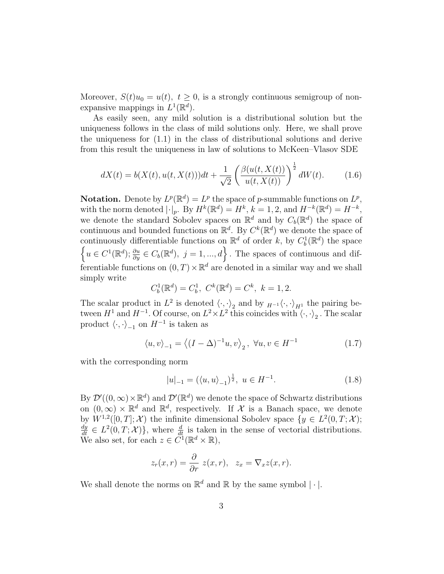Moreover,  $S(t)u_0 = u(t)$ ,  $t \geq 0$ , is a strongly continuous semigroup of nonexpansive mappings in  $L^1(\mathbb{R}^d)$ .

As easily seen, any mild solution is a distributional solution but the uniqueness follows in the class of mild solutions only. Here, we shall prove the uniqueness for (1.1) in the class of distributional solutions and derive from this result the uniqueness in law of solutions to McKeen–Vlasov SDE

$$
dX(t) = b(X(t), u(t, X(t)))dt + \frac{1}{\sqrt{2}} \left( \frac{\beta(u(t, X(t)))}{u(t, X(t))} \right)^{\frac{1}{2}} dW(t).
$$
 (1.6)

**Notation.** Denote by  $L^p(\mathbb{R}^d) = L^p$  the space of p-summable functions on  $L^p$ , with the norm denoted  $|\cdot|_p$ . By  $H^k(\mathbb{R}^d) = H^k$ ,  $k = 1, 2$ , and  $H^{-k}(\mathbb{R}^d) = H^{-k}$ , we denote the standard Sobolev spaces on  $\mathbb{R}^d$  and by  $C_b(\mathbb{R}^d)$  the space of continuous and bounded functions on  $\mathbb{R}^d$ . By  $C^k(\mathbb{R}^d)$  we denote the space of continuously differentiable functions on  $\mathbb{R}^d$  of order k, by  $C_b^1(\mathbb{R}^d)$  the space  $\left\{u \in C^1(\mathbb{R}^d); \frac{\partial u}{\partial y} \in C_b(\mathbb{R}^d), j = 1, ..., d\right\}$ . The spaces of continuous and differentiable functions on  $(0, T) \times \mathbb{R}^d$  are denoted in a similar way and we shall simply write

$$
C_b^1(\mathbb{R}^d) = C_b^1
$$
,  $C^k(\mathbb{R}^d) = C^k$ ,  $k = 1, 2$ .

The scalar product in  $L^2$  is denoted  $\langle \cdot, \cdot \rangle_2$  and by  $_{H^{-1}}\langle \cdot, \cdot \rangle_{H^1}$  the pairing between  $H^1$  and  $H^{-1}$ . Of course, on  $L^2 \times L^2$  this coincides with  $\langle \cdot, \cdot \rangle_2$ . The scalar product  $\langle \cdot, \cdot \rangle_{-1}$  on  $H^{-1}$  is taken as

$$
\langle u, v \rangle_{-1} = \langle (I - \Delta)^{-1} u, v \rangle_2, \ \forall u, v \in H^{-1}
$$
 (1.7)

with the corresponding norm

$$
|u|_{-1} = (\langle u, u \rangle_{-1})^{\frac{1}{2}}, \ u \in H^{-1}.
$$
 (1.8)

By  $\mathcal{D}'((0,\infty)\times\mathbb{R}^d)$  and  $\mathcal{D}'(\mathbb{R}^d)$  we denote the space of Schwartz distributions on  $(0, \infty) \times \mathbb{R}^d$  and  $\mathbb{R}^d$ , respectively. If X is a Banach space, we denote by  $W^{1,2}([0,T];\mathcal{X})$  the infinite dimensional Sobolev space  $\{y \in L^2(0,T;\mathcal{X})\}$  $\frac{dy}{dt} \in L^2(0,T;\mathcal{X})\},\$  where  $\frac{d}{dt}$  is taken in the sense of vectorial distributions. We also set, for each  $z \in C^1(\mathbb{R}^d \times \mathbb{R}),$ 

$$
z_r(x,r) = \frac{\partial}{\partial r} z(x,r), \quad z_x = \nabla_x z(x,r).
$$

We shall denote the norms on  $\mathbb{R}^d$  and  $\mathbb R$  by the same symbol  $|\cdot|$ .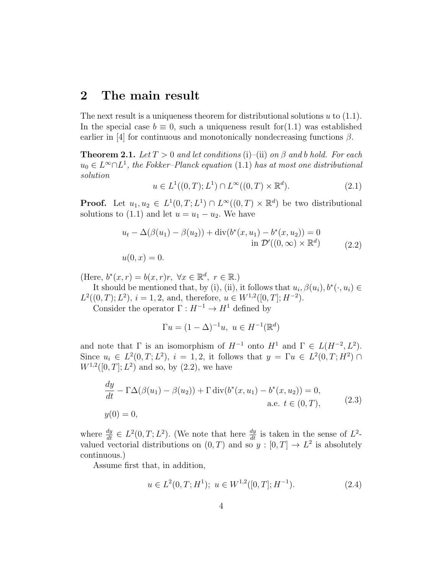#### 2 The main result

The next result is a uniqueness theorem for distributional solutions  $u$  to  $(1.1)$ . In the special case  $b \equiv 0$ , such a uniqueness result for (1.1) was established earlier in [4] for continuous and monotonically nondecreasing functions  $\beta$ .

**Theorem 2.1.** Let  $T > 0$  and let conditions (i)–(ii) on  $\beta$  and b hold. For each  $u_0 \in L^{\infty} \cap L^1$ , the Fokker-Planck equation (1.1) has at most one distributional solution

$$
u \in L^{1}((0, T); L^{1}) \cap L^{\infty}((0, T) \times \mathbb{R}^{d}).
$$
\n(2.1)

**Proof.** Let  $u_1, u_2 \in L^1(0,T; L^1) \cap L^{\infty}((0,T) \times \mathbb{R}^d)$  be two distributional solutions to (1.1) and let  $u = u_1 - u_2$ . We have

$$
u_t - \Delta(\beta(u_1) - \beta(u_2)) + \text{div}(b^*(x, u_1) - b^*(x, u_2)) = 0
$$
  
in  $\mathcal{D}'((0, \infty) \times \mathbb{R}^d)$  (2.2)  

$$
u(0, x) = 0.
$$

(Here,  $b^*(x,r) = b(x,r)r$ ,  $\forall x \in \mathbb{R}^d$ ,  $r \in \mathbb{R}$ .)

It should be mentioned that, by (i), (ii), it follows that  $u_i, \beta(u_i), b^*(\cdot, u_i) \in$  $L^2((0,T); L^2), i = 1, 2, \text{ and, therefore, } u \in W^{1,2}([0,T]; H^{-2}).$ 

Consider the operator  $\Gamma : H^{-1} \to H^1$  defined by

$$
\Gamma u = (1 - \Delta)^{-1} u, \ u \in H^{-1}(\mathbb{R}^d)
$$

and note that  $\Gamma$  is an isomorphism of  $H^{-1}$  onto  $H^1$  and  $\Gamma \in L(H^{-2}, L^2)$ . Since  $u_i \in L^2(0,T; L^2)$ ,  $i = 1, 2$ , it follows that  $y = \Gamma u \in L^2(0,T; H^2)$  $W^{1,2}([0,T]; L^2)$  and so, by  $(2.2)$ , we have

$$
\frac{dy}{dt} - \Gamma \Delta(\beta(u_1) - \beta(u_2)) + \Gamma \operatorname{div}(b^*(x, u_1) - b^*(x, u_2)) = 0,\text{a.e. } t \in (0, T),
$$
\n(2.3)

where  $\frac{dy}{dt} \in L^2(0,T; L^2)$ . (We note that here  $\frac{dy}{dt}$  is taken in the sense of  $L^2$ valued vectorial distributions on  $(0, T)$  and so  $y : [0, T] \to L^2$  is absolutely continuous.)

Assume first that, in addition,

$$
u \in L^{2}(0, T; H^{1}); \ u \in W^{1,2}([0, T]; H^{-1}).
$$
\n(2.4)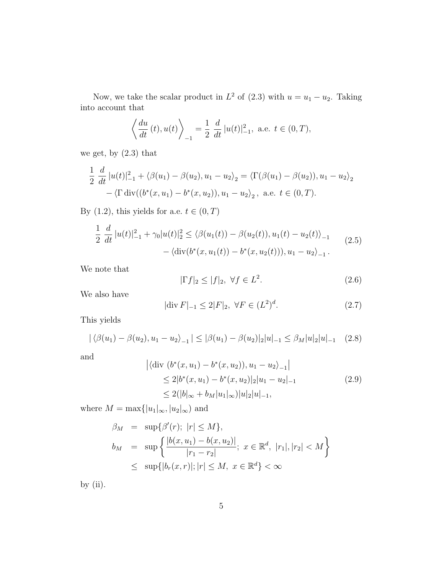Now, we take the scalar product in  $L^2$  of (2.3) with  $u = u_1 - u_2$ . Taking into account that

$$
\left\langle \frac{du}{dt}(t), u(t) \right\rangle_{-1} = \frac{1}{2} \frac{d}{dt} |u(t)|_{-1}^2
$$
, a.e.  $t \in (0, T)$ ,

we get, by  $(2.3)$  that

$$
\frac{1}{2} \frac{d}{dt} |u(t)|_{-1}^{2} + \langle \beta(u_1) - \beta(u_2), u_1 - u_2 \rangle_2 = \langle \Gamma(\beta(u_1) - \beta(u_2)), u_1 - u_2 \rangle_2 \n- \langle \Gamma \operatorname{div}((b^*(x, u_1) - b^*(x, u_2)), u_1 - u_2 \rangle_2, \text{ a.e. } t \in (0, T).
$$

By (1.2), this yields for a.e.  $t \in (0, T)$ 

$$
\frac{1}{2} \frac{d}{dt} |u(t)|_{-1}^{2} + \gamma_{0} |u(t)|_{2}^{2} \leq \langle \beta(u_{1}(t)) - \beta(u_{2}(t)), u_{1}(t) - u_{2}(t) \rangle_{-1} - \langle \operatorname{div}(b^{*}(x, u_{1}(t)) - b^{*}(x, u_{2}(t))), u_{1} - u_{2} \rangle_{-1}.
$$
\n(2.5)

We note that

$$
|\Gamma f|_2 \le |f|_2, \ \forall f \in L^2. \tag{2.6}
$$

We also have

$$
|\text{div}\,F|_{-1} \le 2|F|_2, \ \forall F \in (L^2)^d. \tag{2.7}
$$

This yields

$$
|\langle \beta(u_1) - \beta(u_2), u_1 - u_2 \rangle_{-1}| \leq |\beta(u_1) - \beta(u_2)|_2 |u|_{-1} \leq \beta_M |u|_2 |u|_{-1} \quad (2.8)
$$

and

$$
\begin{aligned} \left| \langle \operatorname{div} \left( b^*(x, u_1) - b^*(x, u_2) \right), u_1 - u_2 \rangle_{-1} \right| \\ &\le 2|b^*(x, u_1) - b^*(x, u_2)|_2 |u_1 - u_2|_{-1} \\ &\le 2(|b|_{\infty} + b_M |u_1|_{\infty}) |u|_2 |u|_{-1}, \end{aligned} \tag{2.9}
$$

where  $M=\max\{|u_1|_\infty, |u_2|_\infty)$  and

$$
\beta_M = \sup \{ \beta'(r); \ |r| \le M \},
$$
  
\n
$$
b_M = \sup \left\{ \frac{|b(x, u_1) - b(x, u_2)|}{|r_1 - r_2|}; \ x \in \mathbb{R}^d, \ |r_1|, |r_2| < M \right\}
$$
  
\n
$$
\leq \sup \{ |b_r(x, r)|; |r| \le M, \ x \in \mathbb{R}^d \} < \infty
$$

by  $(ii)$ .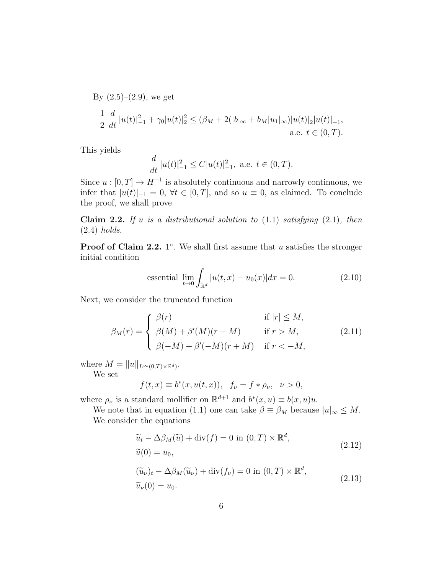By (2.5)–(2.9), we get  
\n
$$
\frac{1}{2} \frac{d}{dt} |u(t)|_{-1}^2 + \gamma_0 |u(t)|_2^2 \leq (\beta_M + 2(|b|_{\infty} + b_M |u_1|_{\infty}) |u(t)|_2 |u(t)|_{-1},
$$
\na.e.  $t \in (0, T)$ .

This yields

$$
\frac{d}{dt} |u(t)|_{-1}^2 \le C|u(t)|_{-1}^2, \text{ a.e. } t \in (0, T).
$$

Since  $u : [0, T] \to H^{-1}$  is absolutely continuous and narrowly continuous, we infer that  $|u(t)|_{-1} = 0$ ,  $\forall t \in [0, T]$ , and so  $u \equiv 0$ , as claimed. To conclude the proof, we shall prove

Claim 2.2. If u is a distributional solution to  $(1.1)$  satisfying  $(2.1)$ , then (2.4) holds.

**Proof of Claim 2.2.** 1°. We shall first assume that u satisfies the stronger initial condition

essential 
$$
\lim_{t \to 0} \int_{\mathbb{R}^d} |u(t, x) - u_0(x)| dx = 0.
$$
 (2.10)

Next, we consider the truncated function

$$
\beta_M(r) = \begin{cases}\n\beta(r) & \text{if } |r| \le M, \\
\beta(M) + \beta'(M)(r - M) & \text{if } r > M, \\
\beta(-M) + \beta'(-M)(r + M) & \text{if } r < -M,\n\end{cases}
$$
\n(2.11)

where  $M = ||u||_{L^{\infty}(0,T)\times\mathbb{R}^d}$ .

We set

$$
f(t, x) \equiv b^*(x, u(t, x)), f_{\nu} = f * \rho_{\nu}, \nu > 0,
$$

where  $\rho_{\nu}$  is a standard mollifier on  $\mathbb{R}^{d+1}$  and  $b^*(x, u) \equiv b(x, u)u$ .

We note that in equation (1.1) one can take  $\beta \equiv \beta_M$  because  $|u|_{\infty} \leq M$ . We consider the equations

$$
\widetilde{u}_t - \Delta \beta_M(\widetilde{u}) + \text{div}(f) = 0 \text{ in } (0, T) \times \mathbb{R}^d,
$$
  
\n
$$
\widetilde{u}(0) = u_0,
$$
  
\n
$$
(\widetilde{u}_\nu)_t - \Delta \beta_M(\widetilde{u}_\nu) + \text{div}(f_\nu) = 0 \text{ in } (0, T) \times \mathbb{R}^d,
$$
  
\n
$$
\widetilde{u}_\nu(0) = u_0.
$$
\n(2.13)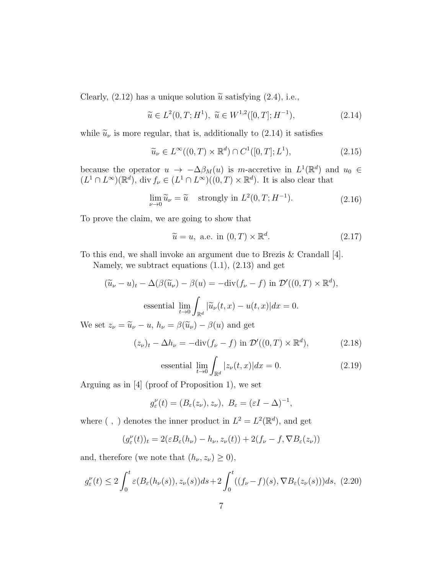Clearly, (2.12) has a unique solution  $\tilde{u}$  satisfying (2.4), i.e.,

$$
\widetilde{u} \in L^2(0, T; H^1), \ \widetilde{u} \in W^{1,2}([0, T]; H^{-1}), \tag{2.14}
$$

while  $\tilde{u}_{\nu}$  is more regular, that is, additionally to (2.14) it satisfies

$$
\widetilde{u}_{\nu} \in L^{\infty}((0,T) \times \mathbb{R}^d) \cap C^1([0,T];L^1),\tag{2.15}
$$

because the operator  $u \to -\Delta \beta_M(u)$  is m-accretive in  $L^1(\mathbb{R}^d)$  and  $u_0 \in$  $(L^1 \cap L^{\infty})(\mathbb{R}^d)$ , div  $f_{\nu} \in (L^1 \cap L^{\infty})((0,T) \times \mathbb{R}^d)$ . It is also clear that

$$
\lim_{\nu \to 0} \widetilde{u}_{\nu} = \widetilde{u} \quad \text{strongly in } L^2(0, T; H^{-1}). \tag{2.16}
$$

To prove the claim, we are going to show that

$$
\widetilde{u} = u, \text{ a.e. in } (0, T) \times \mathbb{R}^d. \tag{2.17}
$$

To this end, we shall invoke an argument due to Brezis & Crandall [4].

Namely, we subtract equations (1.1), (2.13) and get

$$
(\widetilde{u}_{\nu} - u)_t - \Delta(\beta(\widetilde{u}_{\nu}) - \beta(u) = -\text{div}(f_{\nu} - f) \text{ in } \mathcal{D}'((0, T) \times \mathbb{R}^d),
$$
  
essential 
$$
\lim_{t \to 0} \int_{\mathbb{R}^d} |\widetilde{u}_{\nu}(t, x) - u(t, x)| dx = 0.
$$
  
We set  $z_{\nu} = \widetilde{u}_{\nu} - u$ ,  $h_{\nu} = \beta(\widetilde{u}_{\nu}) - \beta(u)$  and get

$$
(z_{\nu})_t - \Delta h_{\nu} = -\text{div}(f_{\nu} - f) \text{ in } \mathcal{D}'((0, T) \times \mathbb{R}^d), \tag{2.18}
$$

essential 
$$
\lim_{t \to 0} \int_{\mathbb{R}^d} |z_\nu(t, x)| dx = 0.
$$
 (2.19)

Arguing as in [4] (proof of Proposition 1), we set

$$
g_{\varepsilon}^{\nu}(t)=(B_{\varepsilon}(z_{\nu}),z_{\nu}),\ B_{\varepsilon}=(\varepsilon I-\Delta)^{-1},
$$

where (, ) denotes the inner product in  $L^2 = L^2(\mathbb{R}^d)$ , and get

$$
(g_{\varepsilon}^{\nu}(t))_t = 2(\varepsilon B_{\varepsilon}(h_{\nu}) - h_{\nu}, z_{\nu}(t)) + 2(f_{\nu} - f, \nabla B_{\varepsilon}(z_{\nu}))
$$

and, therefore (we note that  $(h_{\nu}, z_{\nu}) \geq 0$ ),

$$
g_{\varepsilon}^{\nu}(t) \le 2 \int_0^t \varepsilon(B_{\varepsilon}(h_{\nu}(s)), z_{\nu}(s))ds + 2 \int_0^t ((f_{\nu} - f)(s), \nabla B_{\varepsilon}(z_{\nu}(s)))ds, (2.20)
$$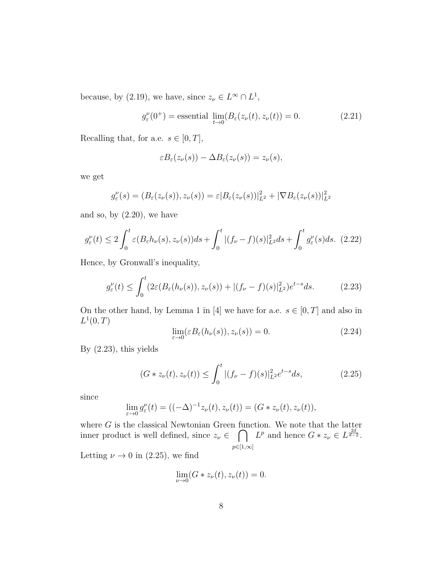because, by (2.19), we have, since  $z_{\nu} \in L^{\infty} \cap L^{1}$ ,

$$
g_{\varepsilon}^{\nu}(0^{+}) = \text{essential } \lim_{t \to 0} (B_{\varepsilon}(z_{\nu}(t), z_{\nu}(t)) = 0. \tag{2.21}
$$

Recalling that, for a.e.  $s \in [0, T]$ ,

$$
\varepsilon B_{\varepsilon}(z_{\nu}(s)) - \Delta B_{\varepsilon}(z_{\nu}(s)) = z_{\nu}(s),
$$

we get

$$
g_{\varepsilon}^{\nu}(s) = (B_{\varepsilon}(z_{\nu}(s)), z_{\nu}(s)) = \varepsilon |B_{\varepsilon}(z_{\nu}(s))|_{L^{2}}^{2} + |\nabla B_{\varepsilon}(z_{\nu}(s))|_{L^{2}}^{2}
$$

and so, by  $(2.20)$ , we have

$$
g_{\varepsilon}^{\nu}(t) \le 2 \int_0^t \varepsilon(B_{\varepsilon} h_{\nu}(s), z_{\nu}(s)) ds + \int_0^t |(f_{\nu} - f)(s)|_{L^2}^2 ds + \int_0^t g_{\varepsilon}^{\nu}(s) ds. \tag{2.22}
$$

Hence, by Gronwall's inequality,

$$
g_{\varepsilon}^{\nu}(t) \le \int_0^t (2\varepsilon(B_{\varepsilon}(h_{\nu}(s)), z_{\nu}(s)) + |(f_{\nu} - f)(s)|_{L^2}^2) e^{t - s} ds. \tag{2.23}
$$

On the other hand, by Lemma 1 in [4] we have for a.e.  $s \in [0, T]$  and also in  $L^1(0,T)$ 

$$
\lim_{\varepsilon \to 0} (\varepsilon B_{\varepsilon}(h_{\nu}(s)), z_{\nu}(s)) = 0.
$$
\n(2.24)

By (2.23), this yields

$$
(G * z_{\nu}(t), z_{\nu}(t)) \le \int_0^t |(f_{\nu} - f)(s)|_{L^2}^2 e^{t - s} ds, \qquad (2.25)
$$

since

$$
\lim_{\varepsilon \to 0} g_{\varepsilon}^{\nu}(t) = ((-\Delta)^{-1} z_{\nu}(t), z_{\nu}(t)) = (G * z_{\nu}(t), z_{\nu}(t)),
$$

where  $G$  is the classical Newtonian Green function. We note that the latter inner product is well defined, since  $z_{\nu} \in \bigcap L^p$  and hence  $G * z_{\nu} \in L^{\frac{2d}{d-2}}$ .  $p\in[1,\infty]$ 

Letting  $\nu \rightarrow 0$  in (2.25), we find

$$
\lim_{\nu \to 0} (G * z_{\nu}(t), z_{\nu}(t)) = 0.
$$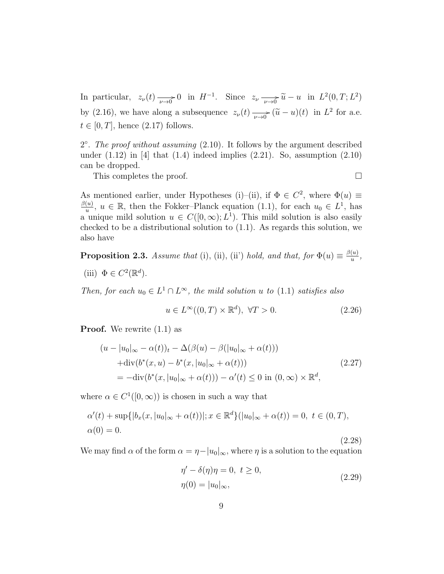In particular,  $z_{\nu}(t) \longrightarrow 0$  in  $H^{-1}$ . Since  $z_{\nu} \longrightarrow \widetilde{u} - u$  in  $L^2(0,T; L^2)$ by (2.16), we have along a subsequence  $z_{\nu}(t) \longrightarrow_{\nu \to 0} (\tilde{u} - u)(t)$  in  $L^2$  for a.e.  $t \in [0, T]$ , hence  $(2.17)$  follows.

2°. The proof without assuming (2.10). It follows by the argument described under  $(1.12)$  in [4] that  $(1.4)$  indeed implies  $(2.21)$ . So, assumption  $(2.10)$ can be dropped.

This completes the proof.

(2.28)

As mentioned earlier, under Hypotheses (i)–(ii), if  $\Phi \in C^2$ , where  $\Phi(u) \equiv$  $\beta(u)$  $\frac{u}{u}$ ,  $u \in \mathbb{R}$ , then the Fokker–Planck equation (1.1), for each  $u_0 \in L^1$ , has a unique mild solution  $u \in C([0,\infty); L^1)$ . This mild solution is also easily checked to be a distributional solution to (1.1). As regards this solution, we also have

**Proposition 2.3.** Assume that (i), (ii), (ii') hold, and that, for  $\Phi(u) \equiv \frac{\beta(u)}{u}$  $\frac{(u)}{u},$ 

(iii)  $\Phi \in C^2(\mathbb{R}^d)$ .

Then, for each  $u_0 \in L^1 \cap L^{\infty}$ , the mild solution u to (1.1) satisfies also

$$
u \in L^{\infty}((0, T) \times \mathbb{R}^d), \ \forall T > 0.
$$
\n
$$
(2.26)
$$

**Proof.** We rewrite  $(1.1)$  as

$$
(u - |u_0|_{\infty} - \alpha(t))_t - \Delta(\beta(u) - \beta(|u_0|_{\infty} + \alpha(t)))
$$
  
+div(b<sup>\*</sup>(x, u) - b<sup>\*</sup>(x, |u\_0|\_{\infty} + \alpha(t)))  
= -div(b<sup>\*</sup>(x, |u\_0|\_{\infty} + \alpha(t))) - \alpha'(t) \le 0 \text{ in } (0, \infty) \times \mathbb{R}^d, (2.27)

where  $\alpha \in C^1([0,\infty))$  is chosen in such a way that

$$
\alpha'(t) + \sup\{|b_x(x, |u_0|_{\infty} + \alpha(t))|; x \in \mathbb{R}^d\}(|u_0|_{\infty} + \alpha(t)) = 0, \ t \in (0, T),
$$
  

$$
\alpha(0) = 0.
$$

We may find  $\alpha$  of the form  $\alpha = \eta - |u_0|_{\infty}$ , where  $\eta$  is a solution to the equation

$$
\eta' - \delta(\eta)\eta = 0, \ t \ge 0,
$$
  

$$
\eta(0) = |u_0|_{\infty},
$$
 (2.29)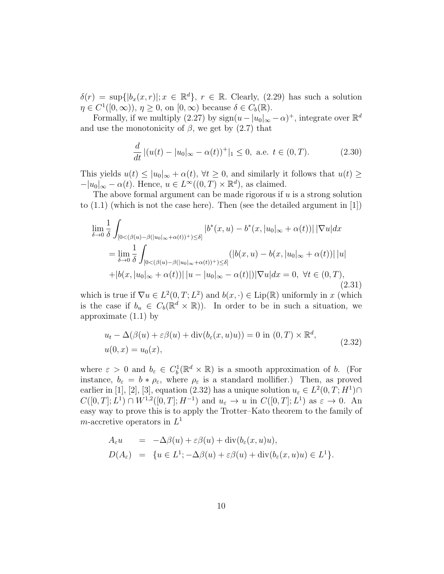$\delta(r) = \sup\{|b_x(x,r)|; x \in \mathbb{R}^d\}, r \in \mathbb{R}$ . Clearly, (2.29) has such a solution  $\eta \in C^1([0,\infty)), \, \eta \geq 0$ , on  $[0,\infty)$  because  $\delta \in C_b(\mathbb{R})$ .

Formally, if we multiply (2.27) by  $sign(u - |u_0|_{\infty} - \alpha)^+$ , integrate over  $\mathbb{R}^d$ and use the monotonicity of  $\beta$ , we get by (2.7) that

$$
\frac{d}{dt} |(u(t) - |u_0|_{\infty} - \alpha(t))^+|_1 \le 0, \text{ a.e. } t \in (0, T). \tag{2.30}
$$

This yields  $u(t) \leq |u_0|_{\infty} + \alpha(t)$ ,  $\forall t \geq 0$ , and similarly it follows that  $u(t) \geq$  $-|u_0|_{\infty} - \alpha(t)$ . Hence,  $u \in L^{\infty}((0,T) \times \mathbb{R}^d)$ , as claimed.

The above formal argument can be made rigorous if  $u$  is a strong solution to  $(1.1)$  (which is not the case here). Then (see the detailed argument in [1])

$$
\lim_{\delta \to 0} \frac{1}{\delta} \int_{[0 < (\beta(u) - \beta(|u_0|_{\infty} + \alpha(t))^+) \le \delta]} |b^*(x, u) - b^*(x, |u_0|_{\infty} + \alpha(t))| |\nabla u| dx
$$
\n
$$
= \lim_{\delta \to 0} \frac{1}{\delta} \int_{[0 < (\beta(u) - \beta(|u_0|_{\infty} + \alpha(t))^+) \le \delta]} (|b(x, u) - b(x, |u_0|_{\infty} + \alpha(t))||u| + |b(x, |u_0|_{\infty} + \alpha(t))||u - |u_0|_{\infty} - \alpha(t)|) |\nabla u| dx = 0, \ \forall t \in (0, T),
$$
\n(2.31)

which is true if  $\nabla u \in L^2(0,T; L^2)$  and  $b(x, \cdot) \in \text{Lip}(\mathbb{R})$  uniformly in x (which is the case if  $b_u \in C_b(\mathbb{R}^d \times \mathbb{R})$ . In order to be in such a situation, we approximate (1.1) by

$$
u_t - \Delta(\beta(u) + \varepsilon \beta(u) + \text{div}(b_\varepsilon(x, u)u)) = 0 \text{ in } (0, T) \times \mathbb{R}^d,
$$
  

$$
u(0, x) = u_0(x),
$$
 (2.32)

where  $\varepsilon > 0$  and  $b_{\varepsilon} \in C_b^1(\mathbb{R}^d \times \mathbb{R})$  is a smooth approximation of b. (For instance,  $b_{\varepsilon} = b * \rho_{\varepsilon}$ , where  $\rho_{\varepsilon}$  is a standard mollifier.) Then, as proved earlier in [1], [2], [3], equation (2.32) has a unique solution  $u_{\varepsilon} \in L^2(0,T;H^1) \cap$  $C([0,T];L^1) \cap W^{1,2}([0,T];H^{-1})$  and  $u_{\varepsilon} \to u$  in  $C([0,T];L^1)$  as  $\varepsilon \to 0$ . An easy way to prove this is to apply the Trotter–Kato theorem to the family of m-accretive operators in  $L^1$ 

$$
A_{\varepsilon}u = -\Delta\beta(u) + \varepsilon\beta(u) + \operatorname{div}(b_{\varepsilon}(x, u)u),
$$
  
\n
$$
D(A_{\varepsilon}) = \{u \in L^1; -\Delta\beta(u) + \varepsilon\beta(u) + \operatorname{div}(b_{\varepsilon}(x, u)u) \in L^1\}.
$$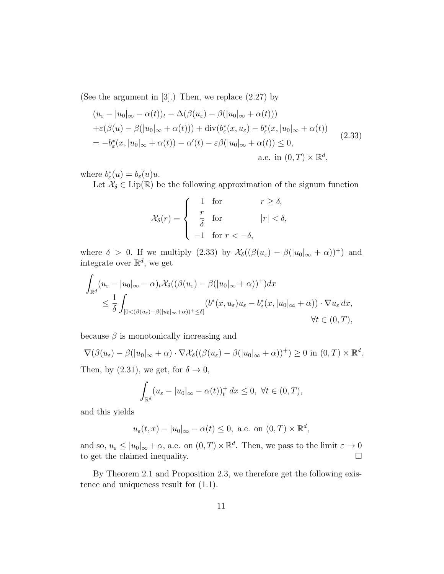(See the argument in [3].) Then, we replace (2.27) by

$$
(u_{\varepsilon} - |u_0|_{\infty} - \alpha(t))_t - \Delta(\beta(u_{\varepsilon}) - \beta(|u_0|_{\infty} + \alpha(t)))
$$
  
+
$$
\varepsilon(\beta(u) - \beta(|u_0|_{\infty} + \alpha(t))) + \text{div}(b_{\varepsilon}^*(x, u_{\varepsilon}) - b_{\varepsilon}^*(x, |u_0|_{\infty} + \alpha(t))
$$
  
= 
$$
-b_{\varepsilon}^*(x, |u_0|_{\infty} + \alpha(t)) - \alpha'(t) - \varepsilon\beta(|u_0|_{\infty} + \alpha(t)) \le 0,
$$
  
a.e. in  $(0, T) \times \mathbb{R}^d$ , (2.33)

where  $b_{\varepsilon}^*(u) = b_{\varepsilon}(u)u$ .

Let  $\mathcal{X}_{\delta} \in \text{Lip}(\mathbb{R})$  be the following approximation of the signum function

$$
\mathcal{X}_{\delta}(r) = \begin{cases}\n1 & \text{for} & r \geq \delta, \\
\frac{r}{\delta} & \text{for} & |r| < \delta, \\
-1 & \text{for } r < -\delta,\n\end{cases}
$$

where  $\delta > 0$ . If we multiply (2.33) by  $\mathcal{X}_{\delta}((\beta(u_{\varepsilon}) - \beta(|u_0|_{\infty} + \alpha))^+)$  and integrate over  $\mathbb{R}^d$ , we get

$$
\int_{\mathbb{R}^d} (u_{\varepsilon} - |u_0|_{\infty} - \alpha)_t \mathcal{X}_{\delta}((\beta(u_{\varepsilon}) - \beta(|u_0|_{\infty} + \alpha))^+) dx
$$
\n
$$
\leq \frac{1}{\delta} \int_{[0 < (\beta(u_{\varepsilon}) - \beta(|u_0|_{\infty} + \alpha))^+ \leq \delta]} (b^*(x, u_{\varepsilon})u_{\varepsilon} - b_{\varepsilon}^*(x, |u_0|_{\infty} + \alpha)) \cdot \nabla u_{\varepsilon} dx,
$$
\n
$$
\forall t \in (0, T),
$$

because  $\beta$  is monotonically increasing and

$$
\nabla(\beta(u_{\varepsilon})-\beta(|u_0|_{\infty}+\alpha)\cdot\nabla\mathcal{X}_{\delta}((\beta(u_{\varepsilon})-\beta(|u_0|_{\infty}+\alpha))^+) \geq 0 \text{ in } (0,T)\times\mathbb{R}^d.
$$

Then, by (2.31), we get, for  $\delta \to 0$ ,

$$
\int_{\mathbb{R}^d} (u_{\varepsilon} - |u_0|_{\infty} - \alpha(t))^+_{t} dx \leq 0, \ \forall t \in (0, T),
$$

and this yields

$$
u_{\varepsilon}(t,x) - |u_0|_{\infty} - \alpha(t) \le 0
$$
, a.e. on  $(0,T) \times \mathbb{R}^d$ ,

and so,  $u_{\varepsilon} \leq |u_0|_{\infty} + \alpha$ , a.e. on  $(0, T) \times \mathbb{R}^d$ . Then, we pass to the limit  $\varepsilon \to 0$ to get the claimed inequality.

By Theorem 2.1 and Proposition 2.3, we therefore get the following existence and uniqueness result for (1.1).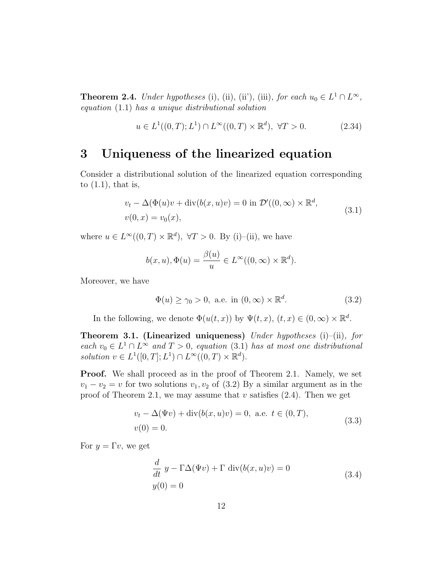**Theorem 2.4.** Under hypotheses (i), (ii), (iii), for each  $u_0 \in L^1 \cap L^{\infty}$ , equation (1.1) has a unique distributional solution

$$
u \in L^{1}((0, T); L^{1}) \cap L^{\infty}((0, T) \times \mathbb{R}^{d}), \ \forall T > 0.
$$
 (2.34)

#### 3 Uniqueness of the linearized equation

Consider a distributional solution of the linearized equation corresponding to  $(1.1)$ , that is,

$$
v_t - \Delta(\Phi(u)v + \text{div}(b(x, u)v) = 0 \text{ in } \mathcal{D}'((0, \infty) \times \mathbb{R}^d,
$$
  

$$
v(0, x) = v_0(x),
$$
 (3.1)

where  $u \in L^{\infty}((0,T) \times \mathbb{R}^d)$ ,  $\forall T > 0$ . By (i)–(ii), we have

$$
b(x, u), \Phi(u) = \frac{\beta(u)}{u} \in L^{\infty}((0, \infty) \times \mathbb{R}^d).
$$

Moreover, we have

$$
\Phi(u) \ge \gamma_0 > 0, \text{ a.e. in } (0, \infty) \times \mathbb{R}^d. \tag{3.2}
$$

In the following, we denote  $\Phi(u(t,x))$  by  $\Psi(t,x)$ ,  $(t,x) \in (0,\infty) \times \mathbb{R}^d$ .

**Theorem 3.1. (Linearized uniqueness)** Under hypotheses  $(i)$ – $(ii)$ , for each  $v_0 \in L^1 \cap L^{\infty}$  and  $T > 0$ , equation (3.1) has at most one distributional solution  $v \in L^1([0,T]; L^1) \cap L^\infty((0,T) \times \mathbb{R}^d)$ .

**Proof.** We shall proceed as in the proof of Theorem 2.1. Namely, we set  $v_1 - v_2 = v$  for two solutions  $v_1, v_2$  of (3.2) By a similar argument as in the proof of Theorem 2.1, we may assume that  $v$  satisfies  $(2.4)$ . Then we get

$$
v_t - \Delta(\Psi v) + \text{div}(b(x, u)v) = 0, \text{ a.e. } t \in (0, T),
$$
  
 
$$
v(0) = 0.
$$
 (3.3)

For  $y = \Gamma v$ , we get

$$
\frac{d}{dt} y - \Gamma \Delta(\Psi v) + \Gamma \operatorname{div}(b(x, u)v) = 0
$$
\n
$$
y(0) = 0
$$
\n(3.4)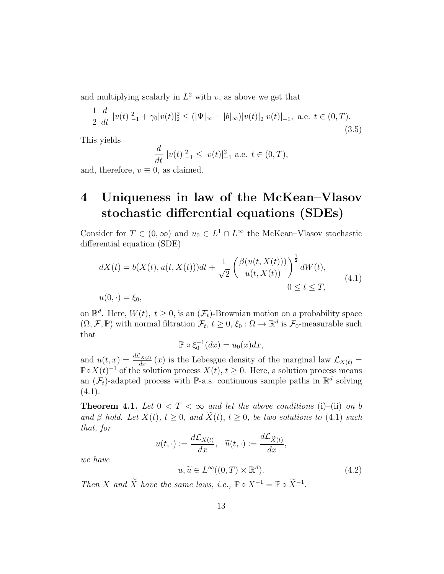and multiplying scalarly in  $L^2$  with v, as above we get that

$$
\frac{1}{2} \frac{d}{dt} |v(t)|_{-1}^2 + \gamma_0 |v(t)|_2^2 \le (|\Psi|_{\infty} + |b|_{\infty}) |v(t)|_2 |v(t)|_{-1}, \text{ a.e. } t \in (0, T). \tag{3.5}
$$

This yields

$$
\frac{d}{dt} |v(t)|_{-1}^2 \le |v(t)|_{-1}^2 \text{ a.e. } t \in (0, T),
$$

and, therefore,  $v \equiv 0$ , as claimed.

## 4 Uniqueness in law of the McKean–Vlasov stochastic differential equations (SDEs)

Consider for  $T \in (0, \infty)$  and  $u_0 \in L^1 \cap L^{\infty}$  the McKean–Vlasov stochastic differential equation (SDE)

$$
dX(t) = b(X(t), u(t, X(t)))dt + \frac{1}{\sqrt{2}} \left( \frac{\beta(u(t, X(t)))}{u(t, X(t))} \right)^{\frac{1}{2}} dW(t),
$$
  
\n
$$
u(0, \cdot) = \xi_0,
$$
\n(4.1)

on  $\mathbb{R}^d$ . Here,  $W(t)$ ,  $t \geq 0$ , is an  $(\mathcal{F}_t)$ -Brownian motion on a probability space  $(\Omega, \mathcal{F}, \mathbb{P})$  with normal filtration  $\mathcal{F}_t, t \geq 0, \xi_0 : \Omega \to \mathbb{R}^d$  is  $\mathcal{F}_0$ -measurable such that

$$
\mathbb{P} \circ \xi_0^{-1}(dx) = u_0(x)dx,
$$

and  $u(t,x) = \frac{d\mathcal{L}_{X(t)}}{dx}(x)$  is the Lebesgue density of the marginal law  $\mathcal{L}_{X(t)}$  =  $\mathbb{P} \circ X(t)^{-1}$  of the solution process  $X(t)$ ,  $t \geq 0$ . Here, a solution process means an  $(\mathcal{F}_t)$ -adapted process with P-a.s. continuous sample paths in  $\mathbb{R}^d$  solving  $(4.1).$ 

**Theorem 4.1.** Let  $0 < T < \infty$  and let the above conditions (i)–(ii) on b and  $\beta$  hold. Let  $X(t)$ ,  $t \geq 0$ , and  $\widetilde{X}(t)$ ,  $t \geq 0$ , be two solutions to (4.1) such that, for

$$
u(t,\cdot):=\frac{d\mathcal{L}_{X(t)}}{dx},\quad \widetilde{u}(t,\cdot):=\frac{d\mathcal{L}_{\widetilde{X}(t)}}{dx},
$$

we have

 $u, \widetilde{u} \in L^{\infty}((0, T) \times \mathbb{R}^d)$  $(4.2)$ 

Then X and  $\widetilde{X}$  have the same laws, i.e.,  $\mathbb{P} \circ X^{-1} = \mathbb{P} \circ \widetilde{X}^{-1}$ .